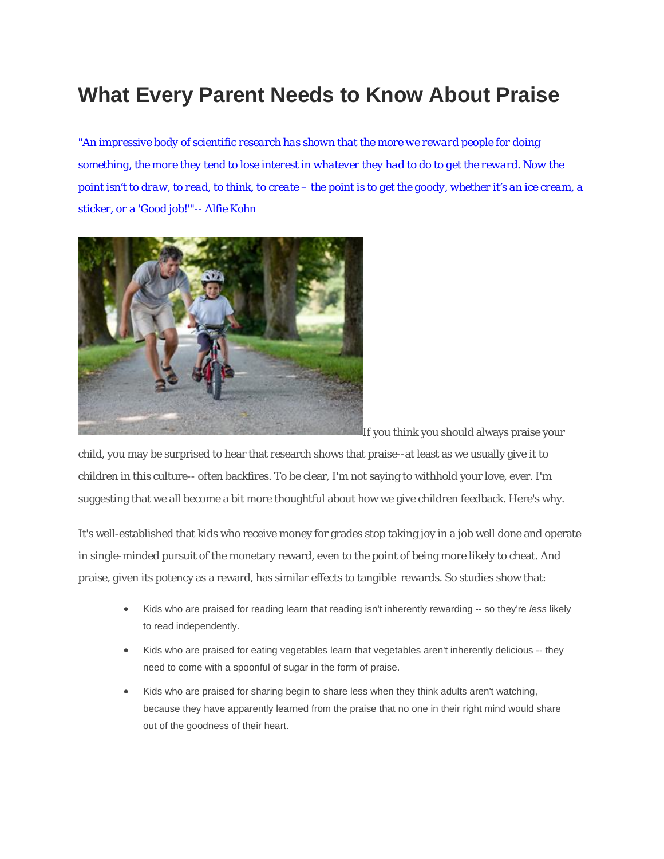# **[What Every Parent Needs to Know About Praise](http://www.ahaparenting.com/_blog/Parenting_Blog/post/Why_Praise_is_bad_for_children/)**

*"An impressive body of scientific research has shown that the more we reward people for doing something, the more they tend to lose interest in whatever they had to do to get the reward. Now the point isn't to draw, to read, to think, to create – the point is to get the goody, whether it's an ice cream, a sticker, or a 'Good job!'"-- Alfie Kohn* 



If you think you should always praise your

child, you may be surprised to hear that research shows that praise--at least as we usually give it to children in this culture-- often backfires. To be clear, I'm not saying to withhold your love, ever. I'm suggesting that we all become a bit more thoughtful about how we give children feedback. Here's why.

It's well-established that kids who receive money for grades stop taking joy in a job well done and operate in single-minded pursuit of the monetary reward, even to the point of being more likely to cheat. And praise, given its potency as a reward, has similar effects to tangible rewards. So studies show that:

- Kids who are praised for reading learn that reading isn't inherently rewarding -- so they're *less* likely to read independently.
- Kids who are praised for eating vegetables learn that vegetables aren't inherently delicious -- they need to come with a spoonful of sugar in the form of praise.
- Kids who are praised for sharing begin to share less when they think adults aren't watching, because they have apparently learned from the praise that no one in their right mind would share out of the goodness of their heart.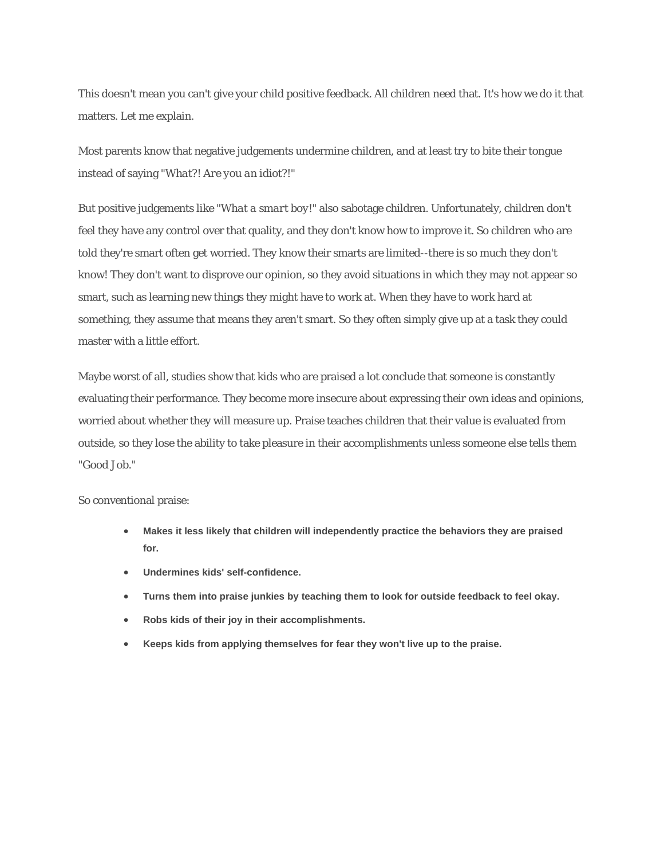This doesn't mean you can't give your child positive feedback. All children need that. It's how we do it that matters. Let me explain.

Most parents know that negative judgements undermine children, and at least try to bite their tongue instead of saying *"What?! Are you an idiot?!*"

But positive judgements like *"What a smart boy!"* also sabotage children. Unfortunately, children don't feel they have any control over that quality, and they don't know how to improve it. So children who are told they're smart often get worried. They know their smarts are limited--there is so much they don't know! They don't want to disprove our opinion, so they avoid situations in which they may not appear so smart, such as learning new things they might have to work at. When they have to work hard at something, they assume that means they aren't smart. So they often simply give up at a task they could master with a little effort.

Maybe worst of all, studies show that kids who are praised a lot conclude that someone is constantly evaluating their performance. They become more insecure about expressing their own ideas and opinions, worried about whether they will measure up. Praise teaches children that their value is evaluated from outside, so they lose the ability to take pleasure in their accomplishments unless someone else tells them "Good Job."

So conventional praise:

- **Makes it less likely that children will independently practice the behaviors they are praised for.**
- **Undermines kids' self-confidence.**
- **Turns them into praise junkies by teaching them to look for outside feedback to feel okay.**
- **Robs kids of their joy in their accomplishments.**
- **Keeps kids from applying themselves for fear they won't live up to the praise.**